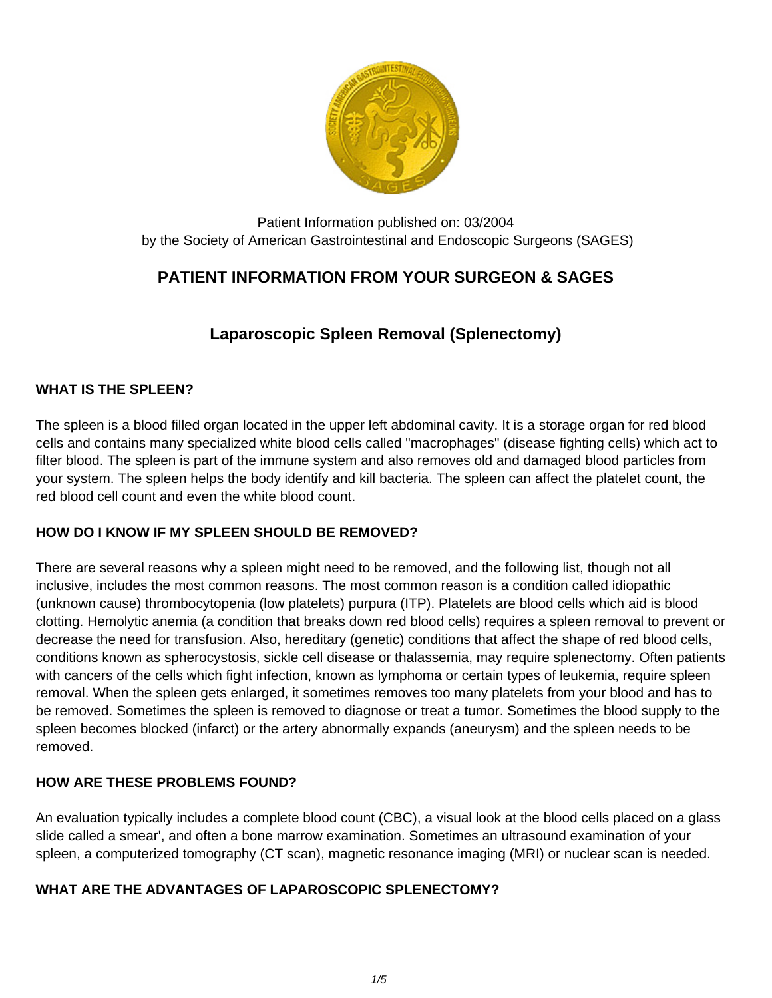

Patient Information published on: 03/2004 by the Society of American Gastrointestinal and Endoscopic Surgeons (SAGES)

# **PATIENT INFORMATION FROM YOUR SURGEON & SAGES**

# **Laparoscopic Spleen Removal (Splenectomy)**

### **WHAT IS THE SPLEEN?**

The spleen is a blood filled organ located in the upper left abdominal cavity. It is a storage organ for red blood cells and contains many specialized white blood cells called "macrophages" (disease fighting cells) which act to filter blood. The spleen is part of the immune system and also removes old and damaged blood particles from your system. The spleen helps the body identify and kill bacteria. The spleen can affect the platelet count, the red blood cell count and even the white blood count.

## **HOW DO I KNOW IF MY SPLEEN SHOULD BE REMOVED?**

There are several reasons why a spleen might need to be removed, and the following list, though not all inclusive, includes the most common reasons. The most common reason is a condition called idiopathic (unknown cause) thrombocytopenia (low platelets) purpura (ITP). Platelets are blood cells which aid is blood clotting. Hemolytic anemia (a condition that breaks down red blood cells) requires a spleen removal to prevent or decrease the need for transfusion. Also, hereditary (genetic) conditions that affect the shape of red blood cells, conditions known as spherocystosis, sickle cell disease or thalassemia, may require splenectomy. Often patients with cancers of the cells which fight infection, known as lymphoma or certain types of leukemia, require spleen removal. When the spleen gets enlarged, it sometimes removes too many platelets from your blood and has to be removed. Sometimes the spleen is removed to diagnose or treat a tumor. Sometimes the blood supply to the spleen becomes blocked (infarct) or the artery abnormally expands (aneurysm) and the spleen needs to be removed.

### **HOW ARE THESE PROBLEMS FOUND?**

An evaluation typically includes a complete blood count (CBC), a visual look at the blood cells placed on a glass slide called a smear', and often a bone marrow examination. Sometimes an ultrasound examination of your spleen, a computerized tomography (CT scan), magnetic resonance imaging (MRI) or nuclear scan is needed.

### **WHAT ARE THE ADVANTAGES OF LAPAROSCOPIC SPLENECTOMY?**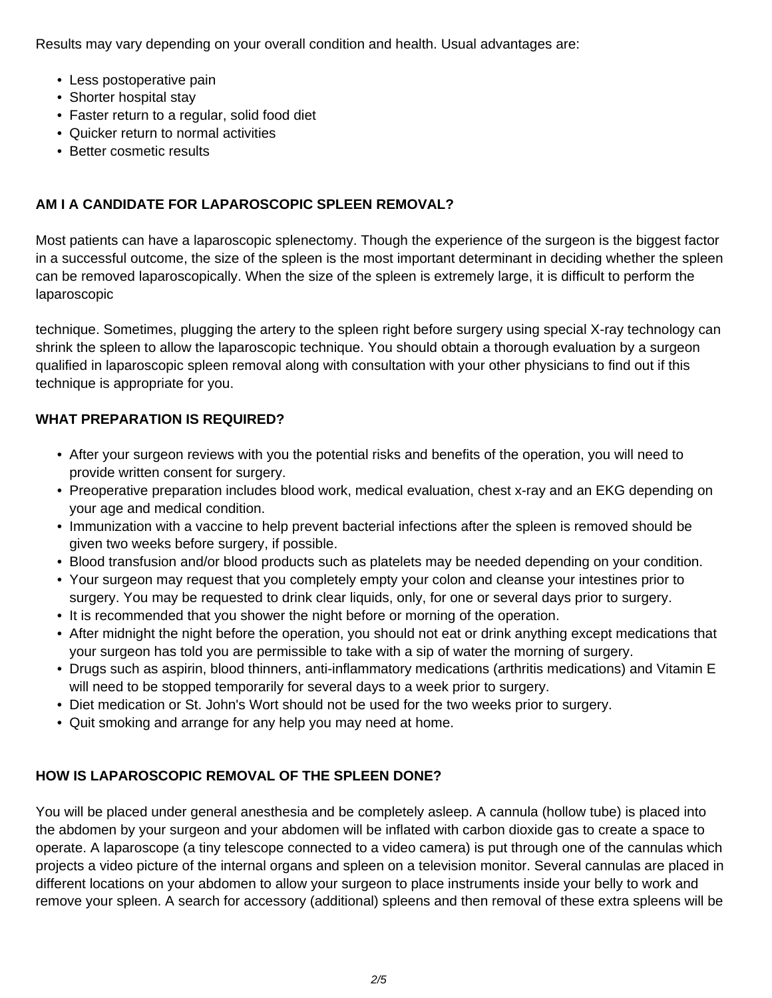Results may vary depending on your overall condition and health. Usual advantages are:

- Less postoperative pain
- Shorter hospital stay
- Faster return to a regular, solid food diet
- Quicker return to normal activities
- Better cosmetic results

### **AM I A CANDIDATE FOR LAPAROSCOPIC SPLEEN REMOVAL?**

Most patients can have a laparoscopic splenectomy. Though the experience of the surgeon is the biggest factor in a successful outcome, the size of the spleen is the most important determinant in deciding whether the spleen can be removed laparoscopically. When the size of the spleen is extremely large, it is difficult to perform the laparoscopic

technique. Sometimes, plugging the artery to the spleen right before surgery using special X-ray technology can shrink the spleen to allow the laparoscopic technique. You should obtain a thorough evaluation by a surgeon qualified in laparoscopic spleen removal along with consultation with your other physicians to find out if this technique is appropriate for you.

### **WHAT PREPARATION IS REQUIRED?**

- After your surgeon reviews with you the potential risks and benefits of the operation, you will need to provide written consent for surgery.
- Preoperative preparation includes blood work, medical evaluation, chest x-ray and an EKG depending on your age and medical condition.
- Immunization with a vaccine to help prevent bacterial infections after the spleen is removed should be given two weeks before surgery, if possible.
- Blood transfusion and/or blood products such as platelets may be needed depending on your condition.
- Your surgeon may request that you completely empty your colon and cleanse your intestines prior to surgery. You may be requested to drink clear liquids, only, for one or several days prior to surgery.
- It is recommended that you shower the night before or morning of the operation.
- After midnight the night before the operation, you should not eat or drink anything except medications that your surgeon has told you are permissible to take with a sip of water the morning of surgery.
- Drugs such as aspirin, blood thinners, anti-inflammatory medications (arthritis medications) and Vitamin E will need to be stopped temporarily for several days to a week prior to surgery.
- Diet medication or St. John's Wort should not be used for the two weeks prior to surgery.
- Quit smoking and arrange for any help you may need at home.

## **HOW IS LAPAROSCOPIC REMOVAL OF THE SPLEEN DONE?**

You will be placed under general anesthesia and be completely asleep. A cannula (hollow tube) is placed into the abdomen by your surgeon and your abdomen will be inflated with carbon dioxide gas to create a space to operate. A laparoscope (a tiny telescope connected to a video camera) is put through one of the cannulas which projects a video picture of the internal organs and spleen on a television monitor. Several cannulas are placed in different locations on your abdomen to allow your surgeon to place instruments inside your belly to work and remove your spleen. A search for accessory (additional) spleens and then removal of these extra spleens will be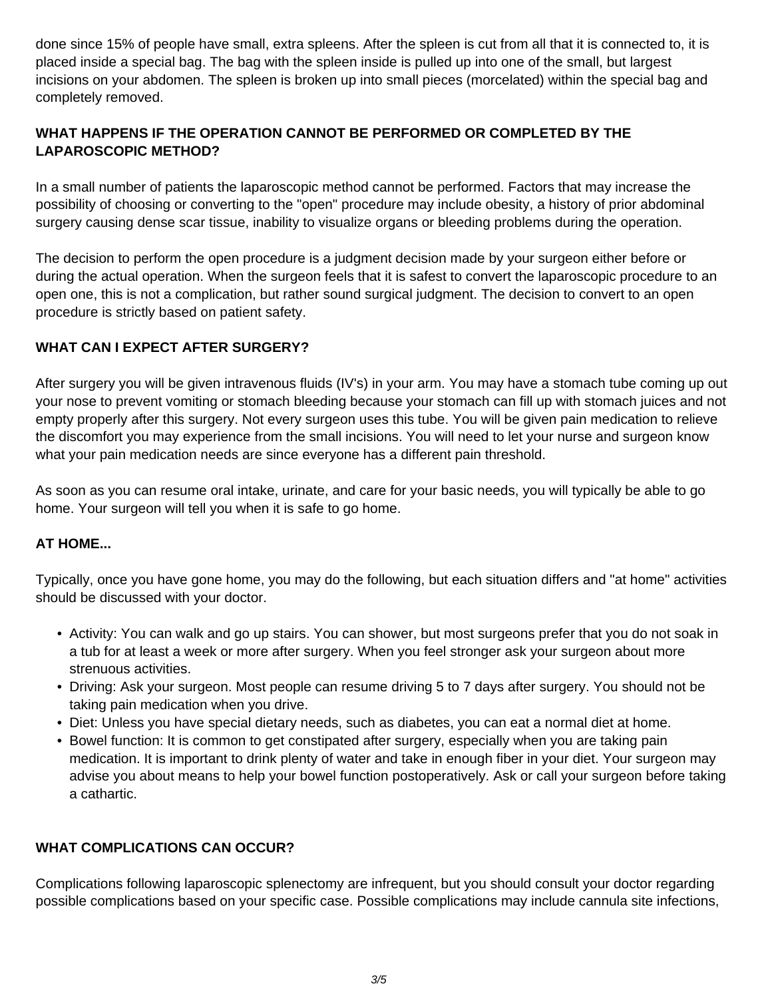done since 15% of people have small, extra spleens. After the spleen is cut from all that it is connected to, it is placed inside a special bag. The bag with the spleen inside is pulled up into one of the small, but largest incisions on your abdomen. The spleen is broken up into small pieces (morcelated) within the special bag and completely removed.

### **WHAT HAPPENS IF THE OPERATION CANNOT BE PERFORMED OR COMPLETED BY THE LAPAROSCOPIC METHOD?**

In a small number of patients the laparoscopic method cannot be performed. Factors that may increase the possibility of choosing or converting to the "open" procedure may include obesity, a history of prior abdominal surgery causing dense scar tissue, inability to visualize organs or bleeding problems during the operation.

The decision to perform the open procedure is a judgment decision made by your surgeon either before or during the actual operation. When the surgeon feels that it is safest to convert the laparoscopic procedure to an open one, this is not a complication, but rather sound surgical judgment. The decision to convert to an open procedure is strictly based on patient safety.

### **WHAT CAN I EXPECT AFTER SURGERY?**

After surgery you will be given intravenous fluids (IV's) in your arm. You may have a stomach tube coming up out your nose to prevent vomiting or stomach bleeding because your stomach can fill up with stomach juices and not empty properly after this surgery. Not every surgeon uses this tube. You will be given pain medication to relieve the discomfort you may experience from the small incisions. You will need to let your nurse and surgeon know what your pain medication needs are since everyone has a different pain threshold.

As soon as you can resume oral intake, urinate, and care for your basic needs, you will typically be able to go home. Your surgeon will tell you when it is safe to go home.

### **AT HOME...**

Typically, once you have gone home, you may do the following, but each situation differs and "at home" activities should be discussed with your doctor.

- Activity: You can walk and go up stairs. You can shower, but most surgeons prefer that you do not soak in a tub for at least a week or more after surgery. When you feel stronger ask your surgeon about more strenuous activities.
- Driving: Ask your surgeon. Most people can resume driving 5 to 7 days after surgery. You should not be taking pain medication when you drive.
- Diet: Unless you have special dietary needs, such as diabetes, you can eat a normal diet at home.
- Bowel function: It is common to get constipated after surgery, especially when you are taking pain medication. It is important to drink plenty of water and take in enough fiber in your diet. Your surgeon may advise you about means to help your bowel function postoperatively. Ask or call your surgeon before taking a cathartic.

### **WHAT COMPLICATIONS CAN OCCUR?**

Complications following laparoscopic splenectomy are infrequent, but you should consult your doctor regarding possible complications based on your specific case. Possible complications may include cannula site infections,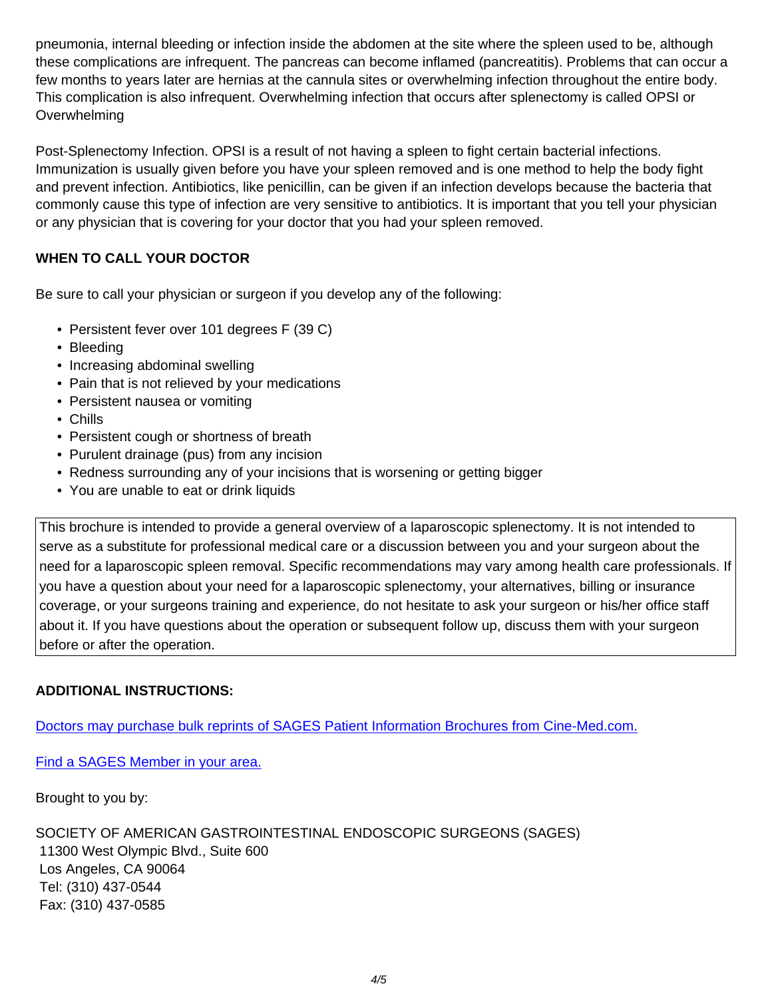pneumonia, internal bleeding or infection inside the abdomen at the site where the spleen used to be, although these complications are infrequent. The pancreas can become inflamed (pancreatitis). Problems that can occur a few months to years later are hernias at the cannula sites or overwhelming infection throughout the entire body. This complication is also infrequent. Overwhelming infection that occurs after splenectomy is called OPSI or **Overwhelming** 

Post-Splenectomy Infection. OPSI is a result of not having a spleen to fight certain bacterial infections. Immunization is usually given before you have your spleen removed and is one method to help the body fight and prevent infection. Antibiotics, like penicillin, can be given if an infection develops because the bacteria that commonly cause this type of infection are very sensitive to antibiotics. It is important that you tell your physician or any physician that is covering for your doctor that you had your spleen removed.

## **WHEN TO CALL YOUR DOCTOR**

Be sure to call your physician or surgeon if you develop any of the following:

- Persistent fever over 101 degrees F (39 C)
- Bleeding
- Increasing abdominal swelling
- Pain that is not relieved by your medications
- Persistent nausea or vomiting
- Chills
- Persistent cough or shortness of breath
- Purulent drainage (pus) from any incision
- Redness surrounding any of your incisions that is worsening or getting bigger
- You are unable to eat or drink liquids

This brochure is intended to provide a general overview of a laparoscopic splenectomy. It is not intended to serve as a substitute for professional medical care or a discussion between you and your surgeon about the need for a laparoscopic spleen removal. Specific recommendations may vary among health care professionals. If you have a question about your need for a laparoscopic splenectomy, your alternatives, billing or insurance coverage, or your surgeons training and experience, do not hesitate to ask your surgeon or his/her office staff about it. If you have questions about the operation or subsequent follow up, discuss them with your surgeon before or after the operation.

## **ADDITIONAL INSTRUCTIONS:**

[Doctors may purchase bulk reprints of SAGES Patient Information Brochures from Cine-Med.com.](http://cine-med.com/index.php?nav=sages&id=PES)

[Find a SAGES Member in your area.](http://www.sages.org/findmember.php)

Brought to you by:

SOCIETY OF AMERICAN GASTROINTESTINAL ENDOSCOPIC SURGEONS (SAGES) 11300 West Olympic Blvd., Suite 600 Los Angeles, CA 90064 Tel: (310) 437-0544 Fax: (310) 437-0585